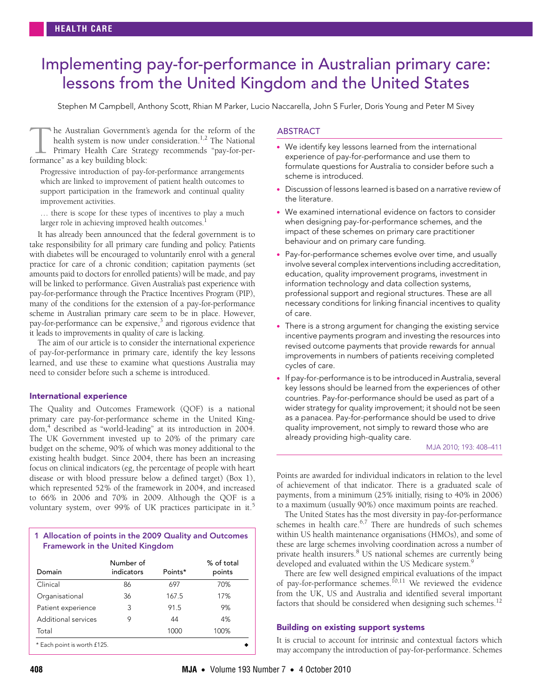# <span id="page-0-0"></span>Implementing pay-for-performance in Australian primary care: lessons from the United Kingdom and the United States

Stephen M Campbell, Anthony Scott, Rhian M Parker, Lucio Naccarella, John S Furler, Doris Young and Peter M Sivey

he Australian Government's agenda for the reform of the health system is now under consideration.<sup>1,2</sup> The National Primary Health Care Strategy recommends "pay-for-per-The Australian Government?<br>
health system is now under<br>
Primary Health Care Strat<br>
formance" as a key building block:

improvement activities. Progressive introduction of pay-for-performance arrangements which are linked to improvement of patient health outcomes to support participation in the framework and continual quality

... there is scope for these types o[f inc](#page-3-12)entives to play a much larger role in achieving improved health outcomes.<sup>[1](#page-3-0)</sup>

w<br>www.mia.com.com It has already been announced that the federal government is to take responsibility for all primary care funding and policy. Patients with diabetes will be encouraged to voluntarily enrol with a general practice for care of a chronic condition; capitation payments (set amounts paid to doctors for enrolled patients) will be made, and pay will be linked to performance. Given Australia's past experience with pay-for-performance through the Practice Incentives Program (PIP), many of the conditions for the extension of a pay-for-performance scheme in Australian primary care seem to be in place. However, pay-for-performance can be expensive,<sup>[3](#page-3-2)</sup> and rigorous evidence that it leads to improvements in quality of care is lacking.

The aim of our article is to consider the international experience of pay-for-performance in primary care, identify the key lessons learned, and use these to examine what questions Australia may need to consider before such a scheme is introduced.

## International experience

The Quality and Outcomes Framework (QOF) is a national primary care pay-for-performance scheme in the United Kingdom,[4](#page-3-3) described as "world-leading" at its introduction in 2004. The UK Government invested up to 20% of the primary care budget on the scheme, 90% of which was money additional to the existing health budget. Since 2004, there has been an increasing focus on clinical indicators (eg, the percentage of people with heart disease or with blood pressure below a defined target) (Box 1), which represented 52% of the framework in 2004, and increased to 66% in 2006 and 70% in 2009. Although the QOF is a voluntary system, over 99% of UK practices participate in it.<sup>[5](#page-3-4)</sup>

# 1 Allocation of points in the 2009 Quality and Outcomes Framework in the United Kingdom

| Domain                      | Number of<br>indicators | Points* | % of total<br>points |
|-----------------------------|-------------------------|---------|----------------------|
| Clinical                    | 86                      | 697     | 70%                  |
| Organisational              | 36                      | 167.5   | 17%                  |
| Patient experience          | 3                       | 91.5    | 9%                   |
| Additional services         | 9                       | 44      | 4%                   |
| Total                       |                         | 1000    | 100%                 |
| * Each point is worth £125. |                         |         |                      |

# ABSTRACT

- We identify key lessons learned from the international experience of pay-for-performance and use them to formulate questions for Australia to consider before such a scheme is introduced.
- Discussion of lessons learned is based on a narrative review of the literature.
- We examined international evidence on factors to consider when designing pay-for-performance schemes, and the impact of these schemes on primary care practitioner behaviour and on primary care funding.
- Pay-for-performance schemes evolve over time, and usually involve several complex interventions including accreditation, education, quality improvement programs, investment in information technology and data collection systems, professional support and regional structures. These are all necessary conditions for linking financial incentives to quality of care.
- There is a strong argument for changing the existing service incentive payments program and investing the resources into revised outcome payments that provide rewards for annual improvements in numbers of patients receiving completed cycles of care.
- If pay-for-performance is to be introduced in Australia, several key lessons should be learned from the experiences of other countries. Pay-for-performance should be used as part of a wider strategy for quality improvement; it should not be seen as a panacea. Pay-for-performance should be used to drive quality improvement, not simply to reward those who are already providing high-quality care.

#### MJA 2010; 193: 408–411

Points are awarded for individual indicators in relation to the level of achievement of that indicator. There is a graduated scale of payments, from a minimum (25% initially, rising to 40% in 2006) to a maximum (usually 90%) once maximum points are reached.

The United States has the most diversity in pay-for-performance schemes in health care. $6,7$  $6,7$  $6,7$  There are hundreds of such schemes within US health maintenance organisations (HMOs), and some of these are large schemes involving coordination across a number of private health insurers.<sup>[8](#page-3-7)</sup> US national schemes are currently being developed and evaluated within the US Medicare system.<sup>9</sup>

There are few well designed empirical evaluations of the impact of pay-for-performance schemes.<sup>[10](#page-3-9),11</sup> We reviewed the evidence from the UK, US and Australia and identified several important factors that should be considered when designing such schemes.<sup>[12](#page-3-11)</sup>

## Building on existing support systems

It is crucial to account for intrinsic and contextual factors which may accompany the introduction of pay-for-performance. Schemes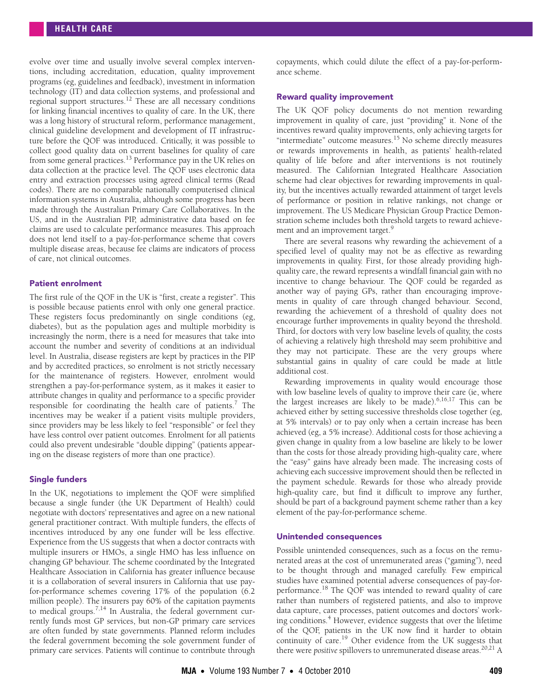evolve over time and usually involve several complex interventions, including accreditation, education, quality improvement programs (eg, guidelines and feedback), investment in information technology (IT) and data collection systems, and professional and regional support structures.<sup>12</sup> These are all necessary conditions for linking financial incentives to quality of care. In the UK, there was a long history of structural reform, performance management, clinical guideline development and development of IT infrastructure before the QOF was introduced. Critically, it was possible to collect good quality data on current baselines for quality of care from some general practices.[13](#page-3-13) Performance pay in the UK relies on data collection at the practice level. The QOF uses electronic data entry and extraction processes using agreed clinical terms (Read codes). There are no comparable nationally computerised clinical information systems in Australia, although some progress has been made through the Australian Primary Care Collaboratives. In the US, and in the Australian PIP, administrative data based on fee claims are used to calculate performance measures. This approach does not lend itself to a pay-for-performance scheme that covers multiple disease areas, because fee claims are indicators of process of care, not clinical outcomes.

## Patient enrolment

The first rule of the QOF in the UK is "first, create a register". This is possible because patients enrol with only one general practice. These registers focus predominantly on single conditions (eg, diabetes), but as the population ages and multiple morbidity is increasingly the norm, there is a need for measures that take into account the number and severity of conditions at an individual level. In Australia, disease registers are kept by practices in the PIP and by accredited practices, so enrolment is not strictly necessary for the maintenance of registers. However, enrolment would strengthen a pay-for-performance system, as it makes it easier to attribute changes in quality and performance to a specific provider responsible for coordinating the health care of patients.<sup>[7](#page-3-6)</sup> The incentives may be weaker if a patient visits multiple providers, since providers may be less likely to feel "responsible" or feel they have less control over patient outcomes. Enrolment for all patients could also prevent undesirable "double dipping" (patients appearing on the disease registers of more than one practice).

# Single funders

In the UK, negotiations to implement the QOF were simplified because a single funder (the UK Department of Health) could negotiate with doctors' representatives and agree on a new national general practitioner contract. With multiple funders, the effects of incentives introduced by any one funder will be less effective. Experience from the US suggests that when a doctor contracts with multiple insurers or HMOs, a single HMO has less influence on changing GP behaviour. The scheme coordinated by the Integrated Healthcare Association in California has greater influence because it is a collaboration of several insurers in California that use payfor-performance schemes covering 17% of the population (6.2 million people). The insurers pay 60% of the capitation payments to medical groups.<sup>[7,](#page-3-6)14</sup> In Australia, the federal government currently funds most GP services, but non-GP primary care services are often funded by state governments. Planned reform includes the federal government becoming the sole government funder of primary care services. Patients will continue to contribute through

copayments, which could dilute the effect of a pay-for-performance scheme.

## Reward quality improvement

The UK QOF policy documents do not mention rewarding improvement in quality of care, just "providing" it. None of the incentives reward quality improvements, only achieving targets for "intermediate" outcome measures.[15](#page-3-15) No scheme directly measures or rewards improvements in health, as patients' health-related quality of life before and after interventions is not routinely measured. The Californian Integrated Healthcare Association scheme had clear objectives for rewarding improvements in quality, but the incentives actually rewarded attainment of target levels of performance or position in relative rankings, not change or improvement. The US Medicare Physician Group Practice Demonstration scheme includes both threshold targets to reward achieve-ment and an improvement target.<sup>[9](#page-3-8)</sup>

There are several reasons why rewarding the achievement of a specified level of quality may not be as effective as rewarding improvements in quality. First, for those already providing highquality care, the reward represents a windfall financial gain with no incentive to change behaviour. The QOF could be regarded as another way of paying GPs, rather than encouraging improvements in quality of care through changed behaviour. Second, rewarding the achievement of a threshold of quality does not encourage further improvements in quality beyond the threshold. Third, for doctors with very low baseline levels of quality, the costs of achieving a relatively high threshold may seem prohibitive and they may not participate. These are the very groups where substantial gains in quality of care could be made at little additional cost.

Rewarding improvements in quality would encourage those with low baseline levels of quality to improve their care (ie, where the largest increases are likely to be made).  $6,16,17$  $6,16,17$  $6,16,17$  This can be achieved either by setting successive thresholds close together (eg, at 5% intervals) or to pay only when a certain increase has been achieved (eg, a 5% increase). Additional costs for those achieving a given change in quality from a low baseline are likely to be lower than the costs for those already providing high-quality care, where the "easy" gains have already been made. The increasing costs of achieving each successive improvement should then be reflected in the payment schedule. Rewards for those who already provide high-quality care, but find it difficult to improve any further, should be part of a background payment scheme rather than a key element of the pay-for-performance scheme.

## Unintended consequences

Possible unintended consequences, such as a focus on the remunerated areas at the cost of unremunerated areas ("gaming"), need to be thought through and managed carefully. Few empirical studies have examined potential adverse consequences of pay-for-performance.<sup>[18](#page-3-18)</sup> The QOF was intended to reward quality of care rather than numbers of registered patients, and also to improve data capture, care processes, patient outcomes and doctors' work-ing conditions.<sup>[4](#page-3-3)</sup> However, evidence suggests that over the lifetime of the QOF, patients in the UK now find it harder to obtain continuity of care.<sup>[19](#page-3-19)</sup> Other evidence from the UK suggests that there were *positive* spillovers to unremunerated disease areas.<sup>[20,](#page-3-20)[21](#page-3-21)</sup> A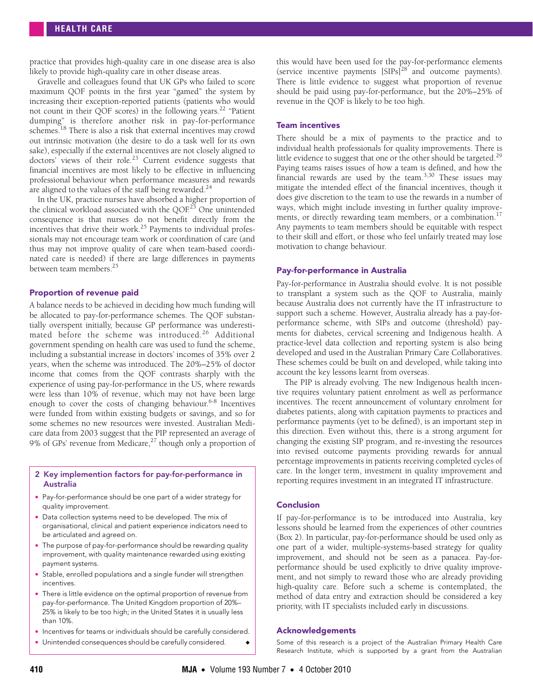practice that provides high-quality care in one disease area is also likely to provide high-quality care in other disease areas.

Gravelle and colleagues found that UK GPs who failed to score maximum QOF points in the first year "gamed" the system by increasing their exception-reported patients (patients who would not count in their QOF scores) in the following years.[22](#page-3-22) "Patient dumping" is therefore another risk in pay-for-performance schemes.<sup>[18](#page-3-18)</sup> There is also a risk that external incentives may crowd out intrinsic motivation (the desire to do a task well for its own sake), especially if the external incentives are not closely aligned to doctors' views of their role.<sup>23</sup> Current evidence suggests that financial incentives are most likely to be effective in influencing professional behaviour when performance measures and rewards are aligned to the values of the staff being rewarded.<sup>[24](#page-3-24)</sup>

In the UK, practice nurses have absorbed a higher proportion of the clinical workload associated with the QOF.<sup>[23](#page-3-23)</sup> One unintended consequence is that nurses do not benefit directly from the incentives that drive their work.[25](#page-3-25) Payments to individual professionals may not encourage team work or coordination of care (and thus may not improve quality of care when team-based coordinated care is needed) if there are large differences in payments between team members.<sup>25</sup>

# Proportion of revenue paid

A balance needs to be achieved in deciding how much funding will be allocated to pay-for-performance schemes. The QOF substantially overspent initially, because GP performance was underestimated before the scheme was introduced.<sup>26</sup> Additional government spending on health care was used to fund the scheme, including a substantial increase in doctors' incomes of 35% over 2 years, when the scheme was introduced. The 20%–25% of doctor income that comes from the QOF contrasts sharply with the experience of using pay-for-performance in the US, where rewards were less than 10% of revenue, which may not have been large enough to cover the costs of changing behaviour.<sup>[6-](#page-3-5)[8](#page-3-7)</sup> Incentives were funded from within existing budgets or savings, and so for some schemes no new resources were invested. Australian Medicare data from 2003 suggest that the PIP represented an average of 9% of GPs' revenue from Medicare, $27$  though only a proportion of

### 2 Key implemention factors for pay-for-performance in Australia

- Pay-for-performance should be one part of a wider strategy for quality improvement.
- Data collection systems need to be developed. The mix of organisational, clinical and patient experience indicators need to be articulated and agreed on.
- The purpose of pay-for-performance should be rewarding quality improvement, with quality maintenance rewarded using existing payment systems.
- Stable, enrolled populations and a single funder will strengthen incentives.
- There is little evidence on the optimal proportion of revenue from pay-for-performance. The United Kingdom proportion of 20%– 25% is likely to be too high; in the United States it is usually less than 10%.
- Incentives for teams or individuals should be carefully considered.
- Unintended consequences should be carefully considered.

this would have been used for the pay-for-performance elements (service incentive payments  $\left[\frac{\text{SIPS}}{28}\right]^{28}$  and outcome payments). There is little evidence to suggest what proportion of revenue should be paid using pay-for-performance, but the 20%–25% of revenue in the QOF is likely to be too high.

#### Team incentives

There should be a mix of payments to the practice and to individual health professionals for quality improvements. There is little evidence to suggest that one or the other should be targeted.<sup>[29](#page-3-29)</sup> Paying teams raises issues of how a team is defined, and how the financial rewards are used by the team.<sup>[3](#page-3-2)[,30](#page-3-12)</sup> These issues may mitigate the intended effect of the financial incentives, though it does give discretion to the team to use the rewards in a number of ways, which might include investing in further quality improve-ments, or directly rewarding team members, or a combination.<sup>[17](#page-3-17)</sup> Any payments to team members should be equitable with respect to their skill and effort, or those who feel unfairly treated may lose motivation to change behaviour.

#### Pay-for-performance in Australia

Pay-for-performance in Australia should evolve. It is not possible to transplant a system such as the QOF to Australia, mainly because Australia does not currently have the IT infrastructure to support such a scheme. However, Australia already has a pay-forperformance scheme, with SIPs and outcome (threshold) payments for diabetes, cervical screening and Indigenous health. A practice-level data collection and reporting system is also being developed and used in the Australian Primary Care Collaboratives. These schemes could be built on and developed, while taking into account the key lessons learnt from overseas.

The PIP is already evolving. The new Indigenous health incentive requires voluntary patient enrolment as well as performance incentives. The recent announcement of voluntary enrolment for diabetes patients, along with capitation payments to practices and performance payments (yet to be defined), is an important step in this direction. Even without this, there is a strong argument for changing the existing SIP program, and re-investing the resources into revised outcome payments providing rewards for annual percentage improvements in patients receiving completed cycles of care. In the longer term, investment in quality improvement and reporting requires investment in an integrated IT infrastructure.

#### Conclusion

If pay-for-performance is to be introduced into Australia, key lessons should be learned from the experiences of other countries (Box 2). In particular, pay-for-performance should be used only as one part of a wider, multiple-systems-based strategy for quality improvement, and should not be seen as a panacea. Pay-forperformance should be used explicitly to drive quality improvement, and not simply to reward those who are already providing high-quality care. Before such a scheme is contemplated, the method of data entry and extraction should be considered a key priority, with IT specialists included early in discussions.

### Acknowledgements

Some of this research is a project of the Australian Primary Health Care Research Institute, which is supported by a grant from the Australian